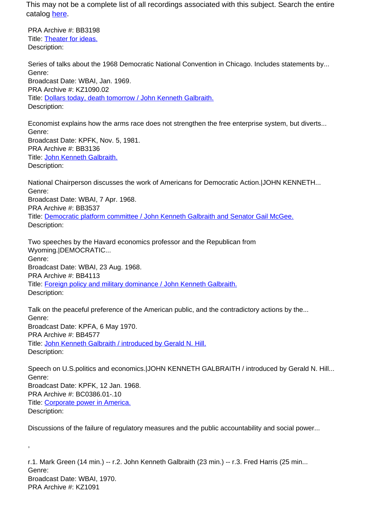This may not be a complete list of all recordings associated with this subject. Search the entire catalog [here.](http://pacificaradioarchives.org/keyword-search)

PRA Archive #: BB3198 Title: Theater for ideas. Description:

,

Series of talks about the 1968 Democratic National Convention in Chicago. Includes statements by... Genre: Broadcast Date: WBAI, Jan. 1969. PRA Archive #: KZ1090.02 Title: Dollars today, death tomorrow / John Kenneth Galbraith. Description:

Economist explains how the arms race does not strengthen the free enterprise system, but diverts... Genre: Broadcast Date: KPFK, Nov. 5, 1981. PRA Archive #: BB3136 Title: John Kenneth Galbraith. Description:

National Chairperson discusses the work of Americans for Democratic Action.|JOHN KENNETH... Genre: Broadcast Date: WBAI, 7 Apr. 1968. PRA Archive #: BB3537 Title: Democratic platform committee / John Kenneth Galbraith and Senator Gail McGee. Description:

Two speeches by the Havard economics professor and the Republican from Wyoming.|DEMOCRATIC... Genre: Broadcast Date: WBAI, 23 Aug. 1968. PRA Archive #: BB4113 Title: Foreign policy and military dominance / John Kenneth Galbraith. Description:

Talk on the peaceful preference of the American public, and the contradictory actions by the... Genre: Broadcast Date: KPFA, 6 May 1970. PRA Archive #: BB4577 Title: John Kenneth Galbraith / introduced by Gerald N. Hill. Description:

Speech on U.S.politics and economics.|JOHN KENNETH GALBRAITH / introduced by Gerald N. Hill... Genre: Broadcast Date: KPFK, 12 Jan. 1968. PRA Archive #: BC0386.01-.10 Title: Corporate power in America. Description:

Discussions of the failure of regulatory measures and the public accountability and social power...

r.1. Mark Green (14 min.) -- r.2. John Kenneth Galbraith (23 min.) -- r.3. Fred Harris (25 min... Genre: Broadcast Date: WBAI, 1970. PRA Archive #: KZ1091